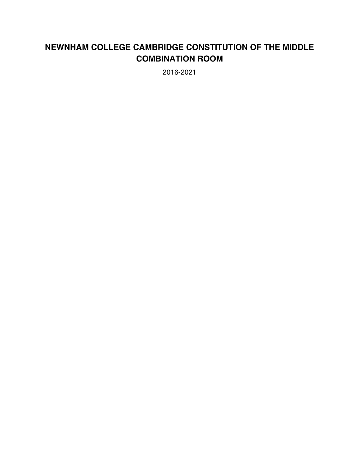# **NEWNHAM COLLEGE CAMBRIDGE CONSTITUTION OF THE MIDDLE COMBINATION ROOM**

2016-2021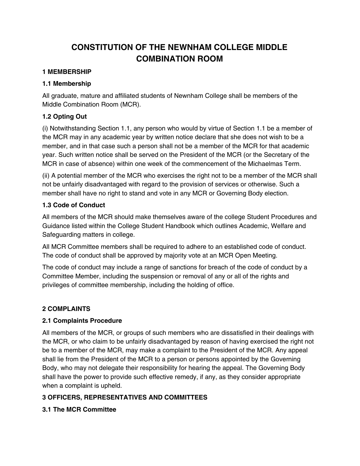# **CONSTITUTION OF THE NEWNHAM COLLEGE MIDDLE COMBINATION ROOM**

### **1 MEMBERSHIP**

#### **1.1 Membership**

All graduate, mature and affiliated students of Newnham College shall be members of the Middle Combination Room (MCR).

## **1.2 Opting Out**

(i) Notwithstanding Section 1.1, any person who would by virtue of Section 1.1 be a member of the MCR may in any academic year by written notice declare that she does not wish to be a member, and in that case such a person shall not be a member of the MCR for that academic year. Such written notice shall be served on the President of the MCR (or the Secretary of the MCR in case of absence) within one week of the commencement of the Michaelmas Term.

(ii) A potential member of the MCR who exercises the right not to be a member of the MCR shall not be unfairly disadvantaged with regard to the provision of services or otherwise. Such a member shall have no right to stand and vote in any MCR or Governing Body election.

## **1.3 Code of Conduct**

All members of the MCR should make themselves aware of the college Student Procedures and Guidance listed within the College Student Handbook which outlines Academic, Welfare and Safeguarding matters in college.

All MCR Committee members shall be required to adhere to an established code of conduct. The code of conduct shall be approved by majority vote at an MCR Open Meeting.

The code of conduct may include a range of sanctions for breach of the code of conduct by a Committee Member, including the suspension or removal of any or all of the rights and privileges of committee membership, including the holding of office.

### **2 COMPLAINTS**

### **2.1 Complaints Procedure**

All members of the MCR, or groups of such members who are dissatisfied in their dealings with the MCR, or who claim to be unfairly disadvantaged by reason of having exercised the right not be to a member of the MCR, may make a complaint to the President of the MCR. Any appeal shall lie from the President of the MCR to a person or persons appointed by the Governing Body, who may not delegate their responsibility for hearing the appeal. The Governing Body shall have the power to provide such effective remedy, if any, as they consider appropriate when a complaint is upheld.

# **3 OFFICERS, REPRESENTATIVES AND COMMITTEES**

### **3.1 The MCR Committee**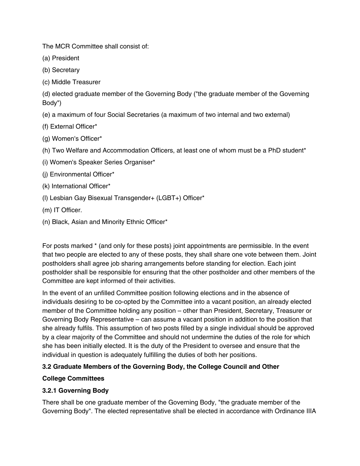The MCR Committee shall consist of:

(a) President

- (b) Secretary
- (c) Middle Treasurer

(d) elected graduate member of the Governing Body ("the graduate member of the Governing Body")

- (e) a maximum of four Social Secretaries (a maximum of two internal and two external)
- (f) External Officer\*
- (g) Women's Officer\*
- (h) Two Welfare and Accommodation Officers, at least one of whom must be a PhD student\*
- (i) Women's Speaker Series Organiser\*
- (j) Environmental Officer\*
- (k) International Officer\*
- (l) Lesbian Gay Bisexual Transgender+ (LGBT+) Officer\*
- (m) IT Officer.
- (n) Black, Asian and Minority Ethnic Officer\*

For posts marked \* (and only for these posts) joint appointments are permissible. In the event that two people are elected to any of these posts, they shall share one vote between them. Joint postholders shall agree job sharing arrangements before standing for election. Each joint postholder shall be responsible for ensuring that the other postholder and other members of the Committee are kept informed of their activities.

In the event of an unfilled Committee position following elections and in the absence of individuals desiring to be co-opted by the Committee into a vacant position, an already elected member of the Committee holding any position – other than President, Secretary, Treasurer or Governing Body Representative – can assume a vacant position in addition to the position that she already fulfils. This assumption of two posts filled by a single individual should be approved by a clear majority of the Committee and should not undermine the duties of the role for which she has been initially elected. It is the duty of the President to oversee and ensure that the individual in question is adequately fulfilling the duties of both her positions.

# **3.2 Graduate Members of the Governing Body, the College Council and Other**

### **College Committees**

# **3.2.1 Governing Body**

There shall be one graduate member of the Governing Body, "the graduate member of the Governing Body". The elected representative shall be elected in accordance with Ordinance IIIA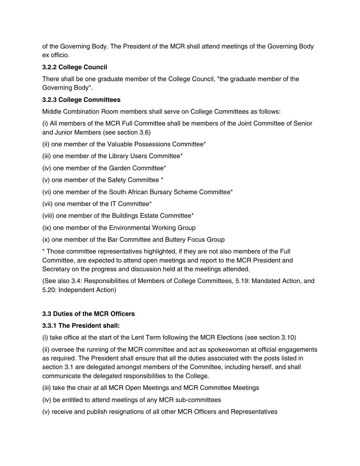of the Governing Body. The President of the MCR shall attend meetings of the Governing Body ex officio.

# **3.2.2 College Council**

There shall be one graduate member of the College Council, "the graduate member of the Governing Body".

# **3.2.3 College Committees**

Middle Combination Room members shall serve on College Committees as follows:

(i) All members of the MCR Full Committee shall be members of the Joint Committee of Senior and Junior Members (see section 3.6)

- (ii) one member of the Valuable Possessions Committee\*
- (iii) one member of the Library Users Committee\*
- (iv) one member of the Garden Committee\*
- (v) one member of the Safety Committee \*
- (vi) one member of the South African Bursary Scheme Committee\*
- (vii) one member of the IT Committee\*
- (viii) one member of the Buildings Estate Committee\*
- (ix) one member of the Environmental Working Group
- (x) one member of the Bar Committee and Buttery Focus Group

\* Those committee representatives highlighted, if they are not also members of the Full Committee, are expected to attend open meetings and report to the MCR President and Secretary on the progress and discussion held at the meetings attended.

(See also 3.4: Responsibilities of Members of College Committees, 5.19: Mandated Action, and 5.20: Independent Action)

# **3.3 Duties of the MCR Officers**

# **3.3.1 The President shall:**

(i) take office at the start of the Lent Term following the MCR Elections (see section 3.10)

(ii) oversee the running of the MCR committee and act as spokeswoman at official engagements as required. The President shall ensure that all the duties associated with the posts listed in section 3.1 are delegated amongst members of the Committee, including herself, and shall communicate the delegated responsibilities to the College.

(iii) take the chair at all MCR Open Meetings and MCR Committee Meetings

- (iv) be entitled to attend meetings of any MCR sub-committees
- (v) receive and publish resignations of all other MCR Officers and Representatives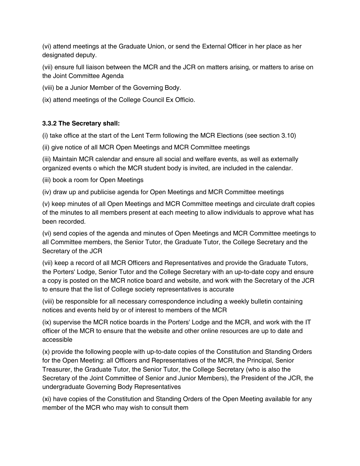(vi) attend meetings at the Graduate Union, or send the External Officer in her place as her designated deputy.

(vii) ensure full liaison between the MCR and the JCR on matters arising, or matters to arise on the Joint Committee Agenda

(viii) be a Junior Member of the Governing Body.

(ix) attend meetings of the College Council Ex Officio.

# **3.3.2 The Secretary shall:**

(i) take office at the start of the Lent Term following the MCR Elections (see section 3.10)

(ii) give notice of all MCR Open Meetings and MCR Committee meetings

(iii) Maintain MCR calendar and ensure all social and welfare events, as well as externally organized events o which the MCR student body is invited, are included in the calendar.

(iii) book a room for Open Meetings

(iv) draw up and publicise agenda for Open Meetings and MCR Committee meetings

(v) keep minutes of all Open Meetings and MCR Committee meetings and circulate draft copies of the minutes to all members present at each meeting to allow individuals to approve what has been recorded.

(vi) send copies of the agenda and minutes of Open Meetings and MCR Committee meetings to all Committee members, the Senior Tutor, the Graduate Tutor, the College Secretary and the Secretary of the JCR

(vii) keep a record of all MCR Officers and Representatives and provide the Graduate Tutors, the Porters' Lodge, Senior Tutor and the College Secretary with an up-to-date copy and ensure a copy is posted on the MCR notice board and website, and work with the Secretary of the JCR to ensure that the list of College society representatives is accurate

(viii) be responsible for all necessary correspondence including a weekly bulletin containing notices and events held by or of interest to members of the MCR

(ix) supervise the MCR notice boards in the Porters' Lodge and the MCR, and work with the IT officer of the MCR to ensure that the website and other online resources are up to date and accessible

(x) provide the following people with up-to-date copies of the Constitution and Standing Orders for the Open Meeting: all Officers and Representatives of the MCR, the Principal, Senior Treasurer, the Graduate Tutor, the Senior Tutor, the College Secretary (who is also the Secretary of the Joint Committee of Senior and Junior Members), the President of the JCR, the undergraduate Governing Body Representatives

(xi) have copies of the Constitution and Standing Orders of the Open Meeting available for any member of the MCR who may wish to consult them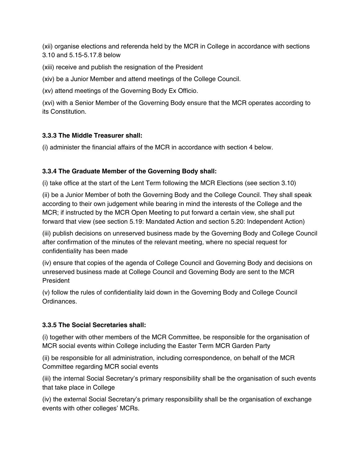(xii) organise elections and referenda held by the MCR in College in accordance with sections 3.10 and 5.15-5.17.8 below

(xiii) receive and publish the resignation of the President

(xiv) be a Junior Member and attend meetings of the College Council.

(xv) attend meetings of the Governing Body Ex Officio.

(xvi) with a Senior Member of the Governing Body ensure that the MCR operates according to its Constitution.

# **3.3.3 The Middle Treasurer shall:**

(i) administer the financial affairs of the MCR in accordance with section 4 below.

# **3.3.4 The Graduate Member of the Governing Body shall:**

(i) take office at the start of the Lent Term following the MCR Elections (see section 3.10)

(ii) be a Junior Member of both the Governing Body and the College Council. They shall speak according to their own judgement while bearing in mind the interests of the College and the MCR; if instructed by the MCR Open Meeting to put forward a certain view, she shall put forward that view (see section 5.19: Mandated Action and section 5.20: Independent Action)

(iii) publish decisions on unreserved business made by the Governing Body and College Council after confirmation of the minutes of the relevant meeting, where no special request for confidentiality has been made

(iv) ensure that copies of the agenda of College Council and Governing Body and decisions on unreserved business made at College Council and Governing Body are sent to the MCR President

(v) follow the rules of confidentiality laid down in the Governing Body and College Council Ordinances.

# **3.3.5 The Social Secretaries shall:**

(i) together with other members of the MCR Committee, be responsible for the organisation of MCR social events within College including the Easter Term MCR Garden Party

(ii) be responsible for all administration, including correspondence, on behalf of the MCR Committee regarding MCR social events

(iii) the internal Social Secretary's primary responsibility shall be the organisation of such events that take place in College

(iv) the external Social Secretary's primary responsibility shall be the organisation of exchange events with other colleges' MCRs.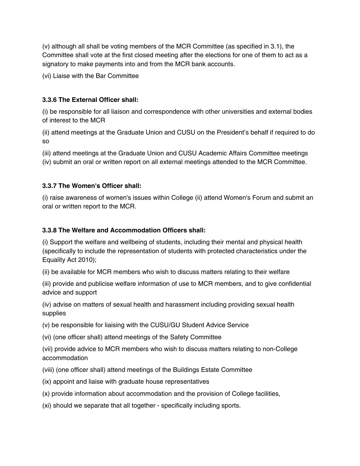(v) although all shall be voting members of the MCR Committee (as specified in 3.1), the Committee shall vote at the first closed meeting after the elections for one of them to act as a signatory to make payments into and from the MCR bank accounts.

(vi) Liaise with the Bar Committee

### **3.3.6 The External Officer shall:**

(i) be responsible for all liaison and correspondence with other universities and external bodies of interest to the MCR

(ii) attend meetings at the Graduate Union and CUSU on the President's behalf if required to do so

(iii) attend meetings at the Graduate Union and CUSU Academic Affairs Committee meetings (iv) submit an oral or written report on all external meetings attended to the MCR Committee.

# **3.3.7 The Women's Officer shall:**

(i) raise awareness of women's issues within College (ii) attend Women's Forum and submit an oral or written report to the MCR.

## **3.3.8 The Welfare and Accommodation Officers shall:**

(i) Support the welfare and wellbeing of students, including their mental and physical health (specifically to include the representation of students with protected characteristics under the Equality Act 2010);

(ii) be available for MCR members who wish to discuss matters relating to their welfare

(iii) provide and publicise welfare information of use to MCR members, and to give confidential advice and support

(iv) advise on matters of sexual health and harassment including providing sexual health supplies

(v) be responsible for liaising with the CUSU/GU Student Advice Service

(vi) (one officer shall) attend meetings of the Safety Committee

(vii) provide advice to MCR members who wish to discuss matters relating to non-College accommodation

(viii) (one officer shall) attend meetings of the Buildings Estate Committee

(ix) appoint and liaise with graduate house representatives

(x) provide information about accommodation and the provision of College facilities,

(xi) should we separate that all together - specifically including sports.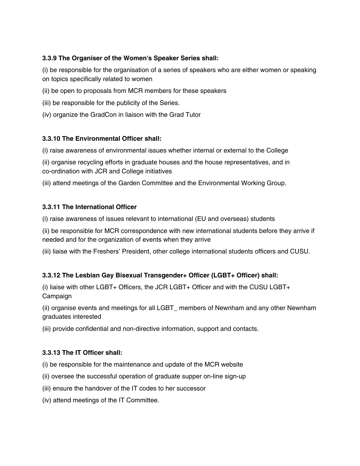## **3.3.9 The Organiser of the Women's Speaker Series shall:**

(i) be responsible for the organisation of a series of speakers who are either women or speaking on topics specifically related to women

- (ii) be open to proposals from MCR members for these speakers
- (iii) be responsible for the publicity of the Series.
- (iv) organize the GradCon in liaison with the Grad Tutor

## **3.3.10 The Environmental Officer shall:**

(i) raise awareness of environmental issues whether internal or external to the College

(ii) organise recycling efforts in graduate houses and the house representatives, and in co-ordination with JCR and College initiatives

(iii) attend meetings of the Garden Committee and the Environmental Working Group.

## **3.3.11 The International Officer**

(i) raise awareness of issues relevant to international (EU and overseas) students

(ii) be responsible for MCR correspondence with new international students before they arrive if needed and for the organization of events when they arrive

(iii) liaise with the Freshers' President, other college international students officers and CUSU.

# **3.3.12 The Lesbian Gay Bisexual Transgender+ Officer (LGBT+ Officer) shall:**

(i) liaise with other LGBT+ Officers, the JCR LGBT+ Officer and with the CUSU LGBT+ Campaign

(ii) organise events and meetings for all LGBT\_ members of Newnham and any other Newnham graduates interested

(iii) provide confidential and non-directive information, support and contacts.

# **3.3.13 The IT Officer shall:**

(i) be responsible for the maintenance and update of the MCR website

- (ii) oversee the successful operation of graduate supper on-line sign-up
- (iii) ensure the handover of the IT codes to her successor
- (iv) attend meetings of the IT Committee.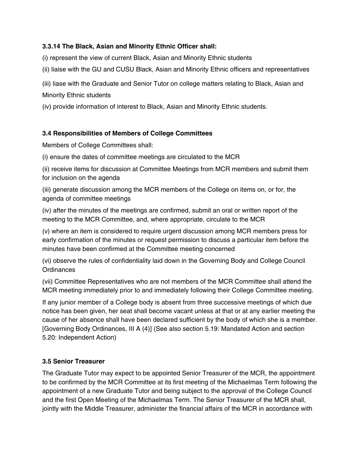#### **3.3.14 The Black, Asian and Minority Ethnic Officer shall:**

(i) represent the view of current Black, Asian and Minority Ethnic students

(ii) liaise with the GU and CUSU Black, Asian and Minority Ethnic officers and representatives

(iii) liase with the Graduate and Senior Tutor on college matters relating to Black, Asian and Minority Ethnic students

(iv) provide information of interest to Black, Asian and Minority Ethnic students.

#### **3.4 Responsibilities of Members of College Committees**

Members of College Committees shall:

(i) ensure the dates of committee meetings are circulated to the MCR

(ii) receive items for discussion at Committee Meetings from MCR members and submit them for inclusion on the agenda

(iii) generate discussion among the MCR members of the College on items on, or for, the agenda of committee meetings

(iv) after the minutes of the meetings are confirmed, submit an oral or written report of the meeting to the MCR Committee, and, where appropriate, circulate to the MCR

(v) where an item is considered to require urgent discussion among MCR members press for early confirmation of the minutes or request permission to discuss a particular item before the minutes have been confirmed at the Committee meeting concerned

(vi) observe the rules of confidentiality laid down in the Governing Body and College Council **Ordinances** 

(vii) Committee Representatives who are not members of the MCR Committee shall attend the MCR meeting immediately prior to and immediately following their College Committee meeting.

If any junior member of a College body is absent from three successive meetings of which due notice has been given, her seat shall become vacant unless at that or at any earlier meeting the cause of her absence shall have been declared sufficient by the body of which she is a member. [Governing Body Ordinances, III A (4)] (See also section 5.19: Mandated Action and section 5.20: Independent Action)

#### **3.5 Senior Treasurer**

The Graduate Tutor may expect to be appointed Senior Treasurer of the MCR, the appointment to be confirmed by the MCR Committee at its first meeting of the Michaelmas Term following the appointment of a new Graduate Tutor and being subject to the approval of the College Council and the first Open Meeting of the Michaelmas Term. The Senior Treasurer of the MCR shall, jointly with the Middle Treasurer, administer the financial affairs of the MCR in accordance with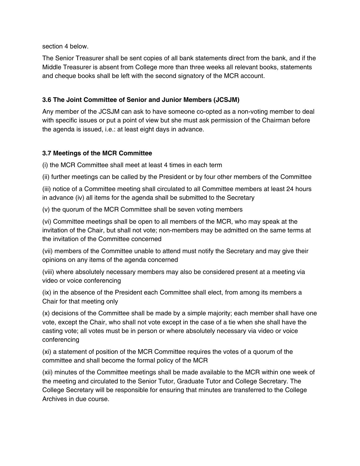section 4 below.

The Senior Treasurer shall be sent copies of all bank statements direct from the bank, and if the Middle Treasurer is absent from College more than three weeks all relevant books, statements and cheque books shall be left with the second signatory of the MCR account.

#### **3.6 The Joint Committee of Senior and Junior Members (JCSJM)**

Any member of the JCSJM can ask to have someone co-opted as a non-voting member to deal with specific issues or put a point of view but she must ask permission of the Chairman before the agenda is issued, i.e.: at least eight days in advance.

#### **3.7 Meetings of the MCR Committee**

(i) the MCR Committee shall meet at least 4 times in each term

(ii) further meetings can be called by the President or by four other members of the Committee

(iii) notice of a Committee meeting shall circulated to all Committee members at least 24 hours in advance (iv) all items for the agenda shall be submitted to the Secretary

(v) the quorum of the MCR Committee shall be seven voting members

(vi) Committee meetings shall be open to all members of the MCR, who may speak at the invitation of the Chair, but shall not vote; non-members may be admitted on the same terms at the invitation of the Committee concerned

(vii) members of the Committee unable to attend must notify the Secretary and may give their opinions on any items of the agenda concerned

(viii) where absolutely necessary members may also be considered present at a meeting via video or voice conferencing

(ix) in the absence of the President each Committee shall elect, from among its members a Chair for that meeting only

(x) decisions of the Committee shall be made by a simple majority; each member shall have one vote, except the Chair, who shall not vote except in the case of a tie when she shall have the casting vote; all votes must be in person or where absolutely necessary via video or voice conferencing

(xi) a statement of position of the MCR Committee requires the votes of a quorum of the committee and shall become the formal policy of the MCR

(xii) minutes of the Committee meetings shall be made available to the MCR within one week of the meeting and circulated to the Senior Tutor, Graduate Tutor and College Secretary. The College Secretary will be responsible for ensuring that minutes are transferred to the College Archives in due course.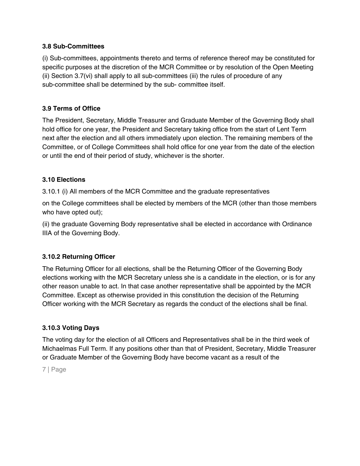#### **3.8 Sub-Committees**

(i) Sub-committees, appointments thereto and terms of reference thereof may be constituted for specific purposes at the discretion of the MCR Committee or by resolution of the Open Meeting (ii) Section 3.7(vi) shall apply to all sub-committees (iii) the rules of procedure of any sub-committee shall be determined by the sub- committee itself.

## **3.9 Terms of Office**

The President, Secretary, Middle Treasurer and Graduate Member of the Governing Body shall hold office for one year, the President and Secretary taking office from the start of Lent Term next after the election and all others immediately upon election. The remaining members of the Committee, or of College Committees shall hold office for one year from the date of the election or until the end of their period of study, whichever is the shorter.

### **3.10 Elections**

3.10.1 (i) All members of the MCR Committee and the graduate representatives

on the College committees shall be elected by members of the MCR (other than those members who have opted out);

(ii) the graduate Governing Body representative shall be elected in accordance with Ordinance IIIA of the Governing Body.

### **3.10.2 Returning Officer**

The Returning Officer for all elections, shall be the Returning Officer of the Governing Body elections working with the MCR Secretary unless she is a candidate in the election, or is for any other reason unable to act. In that case another representative shall be appointed by the MCR Committee. Except as otherwise provided in this constitution the decision of the Returning Officer working with the MCR Secretary as regards the conduct of the elections shall be final.

### **3.10.3 Voting Days**

The voting day for the election of all Officers and Representatives shall be in the third week of Michaelmas Full Term. If any positions other than that of President, Secretary, Middle Treasurer or Graduate Member of the Governing Body have become vacant as a result of the

7 | Page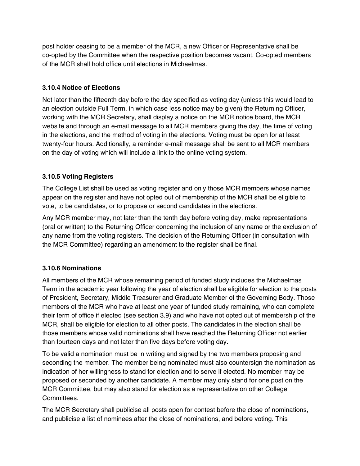post holder ceasing to be a member of the MCR, a new Officer or Representative shall be co-opted by the Committee when the respective position becomes vacant. Co-opted members of the MCR shall hold office until elections in Michaelmas.

### **3.10.4 Notice of Elections**

Not later than the fifteenth day before the day specified as voting day (unless this would lead to an election outside Full Term, in which case less notice may be given) the Returning Officer, working with the MCR Secretary, shall display a notice on the MCR notice board, the MCR website and through an e-mail message to all MCR members giving the day, the time of voting in the elections, and the method of voting in the elections. Voting must be open for at least twenty-four hours. Additionally, a reminder e-mail message shall be sent to all MCR members on the day of voting which will include a link to the online voting system.

### **3.10.5 Voting Registers**

The College List shall be used as voting register and only those MCR members whose names appear on the register and have not opted out of membership of the MCR shall be eligible to vote, to be candidates, or to propose or second candidates in the elections.

Any MCR member may, not later than the tenth day before voting day, make representations (oral or written) to the Returning Officer concerning the inclusion of any name or the exclusion of any name from the voting registers. The decision of the Returning Officer (in consultation with the MCR Committee) regarding an amendment to the register shall be final.

#### **3.10.6 Nominations**

All members of the MCR whose remaining period of funded study includes the Michaelmas Term in the academic year following the year of election shall be eligible for election to the posts of President, Secretary, Middle Treasurer and Graduate Member of the Governing Body. Those members of the MCR who have at least one year of funded study remaining, who can complete their term of office if elected (see section 3.9) and who have not opted out of membership of the MCR, shall be eligible for election to all other posts. The candidates in the election shall be those members whose valid nominations shall have reached the Returning Officer not earlier than fourteen days and not later than five days before voting day.

To be valid a nomination must be in writing and signed by the two members proposing and seconding the member. The member being nominated must also countersign the nomination as indication of her willingness to stand for election and to serve if elected. No member may be proposed or seconded by another candidate. A member may only stand for one post on the MCR Committee, but may also stand for election as a representative on other College Committees.

The MCR Secretary shall publicise all posts open for contest before the close of nominations, and publicise a list of nominees after the close of nominations, and before voting. This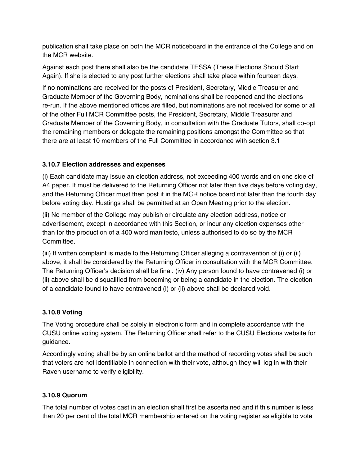publication shall take place on both the MCR noticeboard in the entrance of the College and on the MCR website.

Against each post there shall also be the candidate TESSA (These Elections Should Start Again). If she is elected to any post further elections shall take place within fourteen days.

If no nominations are received for the posts of President, Secretary, Middle Treasurer and Graduate Member of the Governing Body, nominations shall be reopened and the elections re-run. If the above mentioned offices are filled, but nominations are not received for some or all of the other Full MCR Committee posts, the President, Secretary, Middle Treasurer and Graduate Member of the Governing Body, in consultation with the Graduate Tutors, shall co-opt the remaining members or delegate the remaining positions amongst the Committee so that there are at least 10 members of the Full Committee in accordance with section 3.1

## **3.10.7 Election addresses and expenses**

(i) Each candidate may issue an election address, not exceeding 400 words and on one side of A4 paper. It must be delivered to the Returning Officer not later than five days before voting day, and the Returning Officer must then post it in the MCR notice board not later than the fourth day before voting day. Hustings shall be permitted at an Open Meeting prior to the election.

(ii) No member of the College may publish or circulate any election address, notice or advertisement, except in accordance with this Section, or incur any election expenses other than for the production of a 400 word manifesto, unless authorised to do so by the MCR Committee.

(iii) If written complaint is made to the Returning Officer alleging a contravention of (i) or (ii) above, it shall be considered by the Returning Officer in consultation with the MCR Committee. The Returning Officer's decision shall be final. (iv) Any person found to have contravened (i) or (ii) above shall be disqualified from becoming or being a candidate in the election. The election of a candidate found to have contravened (i) or (ii) above shall be declared void.

# **3.10.8 Voting**

The Voting procedure shall be solely in electronic form and in complete accordance with the CUSU online voting system. The Returning Officer shall refer to the CUSU Elections website for guidance.

Accordingly voting shall be by an online ballot and the method of recording votes shall be such that voters are not identifiable in connection with their vote, although they will log in with their Raven username to verify eligibility.

### **3.10.9 Quorum**

The total number of votes cast in an election shall first be ascertained and if this number is less than 20 per cent of the total MCR membership entered on the voting register as eligible to vote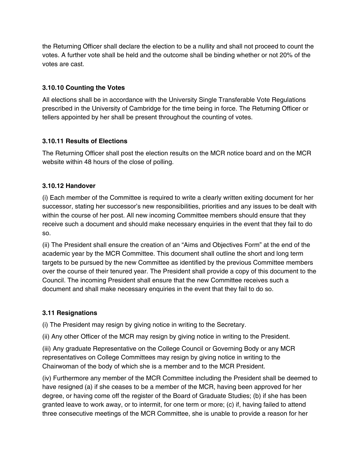the Returning Officer shall declare the election to be a nullity and shall not proceed to count the votes. A further vote shall be held and the outcome shall be binding whether or not 20% of the votes are cast.

## **3.10.10 Counting the Votes**

All elections shall be in accordance with the University Single Transferable Vote Regulations prescribed in the University of Cambridge for the time being in force. The Returning Officer or tellers appointed by her shall be present throughout the counting of votes.

## **3.10.11 Results of Elections**

The Returning Officer shall post the election results on the MCR notice board and on the MCR website within 48 hours of the close of polling.

# **3.10.12 Handover**

(i) Each member of the Committee is required to write a clearly written exiting document for her successor, stating her successor's new responsibilities, priorities and any issues to be dealt with within the course of her post. All new incoming Committee members should ensure that they receive such a document and should make necessary enquiries in the event that they fail to do so.

(ii) The President shall ensure the creation of an "Aims and Objectives Form" at the end of the academic year by the MCR Committee. This document shall outline the short and long term targets to be pursued by the new Committee as identified by the previous Committee members over the course of their tenured year. The President shall provide a copy of this document to the Council. The incoming President shall ensure that the new Committee receives such a document and shall make necessary enquiries in the event that they fail to do so.

# **3.11 Resignations**

(i) The President may resign by giving notice in writing to the Secretary.

(ii) Any other Officer of the MCR may resign by giving notice in writing to the President.

(iii) Any graduate Representative on the College Council or Governing Body or any MCR representatives on College Committees may resign by giving notice in writing to the Chairwoman of the body of which she is a member and to the MCR President.

(iv) Furthermore any member of the MCR Committee including the President shall be deemed to have resigned (a) if she ceases to be a member of the MCR, having been approved for her degree, or having come off the register of the Board of Graduate Studies; (b) if she has been granted leave to work away, or to intermit, for one term or more; (c) if, having failed to attend three consecutive meetings of the MCR Committee, she is unable to provide a reason for her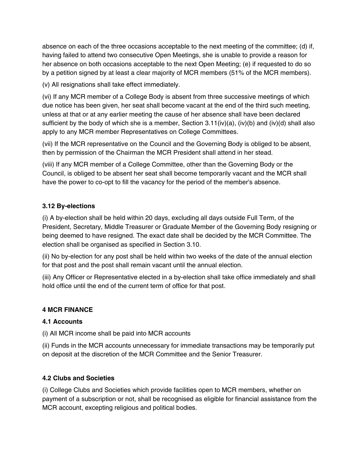absence on each of the three occasions acceptable to the next meeting of the committee; (d) if, having failed to attend two consecutive Open Meetings, she is unable to provide a reason for her absence on both occasions acceptable to the next Open Meeting; (e) if requested to do so by a petition signed by at least a clear majority of MCR members (51% of the MCR members).

(v) All resignations shall take effect immediately.

(vi) If any MCR member of a College Body is absent from three successive meetings of which due notice has been given, her seat shall become vacant at the end of the third such meeting, unless at that or at any earlier meeting the cause of her absence shall have been declared sufficient by the body of which she is a member, Section 3.11(iv)(a), (iv)(b) and (iv)(d) shall also apply to any MCR member Representatives on College Committees.

(vii) If the MCR representative on the Council and the Governing Body is obliged to be absent, then by permission of the Chairman the MCR President shall attend in her stead.

(viii) If any MCR member of a College Committee, other than the Governing Body or the Council, is obliged to be absent her seat shall become temporarily vacant and the MCR shall have the power to co-opt to fill the vacancy for the period of the member's absence.

## **3.12 By-elections**

(i) A by-election shall be held within 20 days, excluding all days outside Full Term, of the President, Secretary, Middle Treasurer or Graduate Member of the Governing Body resigning or being deemed to have resigned. The exact date shall be decided by the MCR Committee. The election shall be organised as specified in Section 3.10.

(ii) No by-election for any post shall be held within two weeks of the date of the annual election for that post and the post shall remain vacant until the annual election.

(iii) Any Officer or Representative elected in a by-election shall take office immediately and shall hold office until the end of the current term of office for that post.

### **4 MCR FINANCE**

# **4.1 Accounts**

(i) All MCR income shall be paid into MCR accounts

(ii) Funds in the MCR accounts unnecessary for immediate transactions may be temporarily put on deposit at the discretion of the MCR Committee and the Senior Treasurer.

### **4.2 Clubs and Societies**

(i) College Clubs and Societies which provide facilities open to MCR members, whether on payment of a subscription or not, shall be recognised as eligible for financial assistance from the MCR account, excepting religious and political bodies.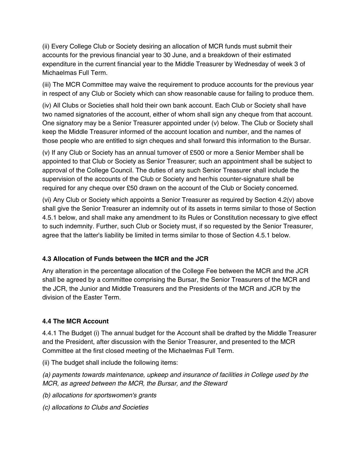(ii) Every College Club or Society desiring an allocation of MCR funds must submit their accounts for the previous financial year to 30 June, and a breakdown of their estimated expenditure in the current financial year to the Middle Treasurer by Wednesday of week 3 of Michaelmas Full Term.

(iii) The MCR Committee may waive the requirement to produce accounts for the previous year in respect of any Club or Society which can show reasonable cause for failing to produce them.

(iv) All Clubs or Societies shall hold their own bank account. Each Club or Society shall have two named signatories of the account, either of whom shall sign any cheque from that account. One signatory may be a Senior Treasurer appointed under (v) below. The Club or Society shall keep the Middle Treasurer informed of the account location and number, and the names of those people who are entitled to sign cheques and shall forward this information to the Bursar.

(v) If any Club or Society has an annual turnover of £500 or more a Senior Member shall be appointed to that Club or Society as Senior Treasurer; such an appointment shall be subject to approval of the College Council. The duties of any such Senior Treasurer shall include the supervision of the accounts of the Club or Society and her/his counter-signature shall be required for any cheque over £50 drawn on the account of the Club or Society concerned.

(vi) Any Club or Society which appoints a Senior Treasurer as required by Section 4.2(v) above shall give the Senior Treasurer an indemnity out of its assets in terms similar to those of Section 4.5.1 below, and shall make any amendment to its Rules or Constitution necessary to give effect to such indemnity. Further, such Club or Society must, if so requested by the Senior Treasurer, agree that the latter's liability be limited in terms similar to those of Section 4.5.1 below.

### **4.3 Allocation of Funds between the MCR and the JCR**

Any alteration in the percentage allocation of the College Fee between the MCR and the JCR shall be agreed by a committee comprising the Bursar, the Senior Treasurers of the MCR and the JCR, the Junior and Middle Treasurers and the Presidents of the MCR and JCR by the division of the Easter Term.

# **4.4 The MCR Account**

4.4.1 The Budget (i) The annual budget for the Account shall be drafted by the Middle Treasurer and the President, after discussion with the Senior Treasurer, and presented to the MCR Committee at the first closed meeting of the Michaelmas Full Term.

(ii) The budget shall include the following items:

(a) payments towards maintenance, upkeep and insurance of facilities in College used by the MCR, as agreed between the MCR, the Bursar, and the Steward

(b) allocations for sportswomen's grants

(c) allocations to Clubs and Societies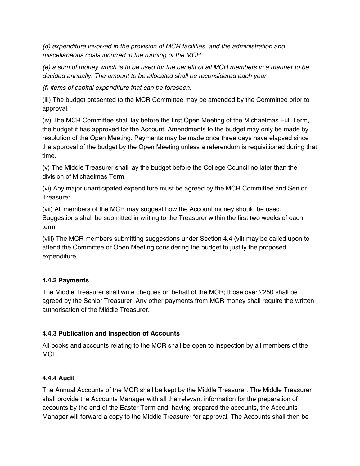(d) expenditure involved in the provision of MCR facilities, and the administration and miscellaneous costs incurred in the running of the MCR

(e) a sum of money which is to be used for the benefit of all MCR members in a manner to be decided annually. The amount to be allocated shall be reconsidered each year

(f) items of capital expenditure that can be foreseen.

(iii) The budget presented to the MCR Committee may be amended by the Committee prior to approval.

(iv) The MCR Committee shall lay before the first Open Meeting of the Michaelmas Full Term, the budget it has approved for the Account. Amendments to the budget may only be made by resolution of the Open Meeting. Payments may be made once three days have elapsed since the approval of the budget by the Open Meeting unless a referendum is requisitioned during that time.

(v) The Middle Treasurer shall lay the budget before the College Council no later than the division of Michaelmas Term.

(vi) Any major unanticipated expenditure must be agreed by the MCR Committee and Senior Treasurer.

(vii) All members of the MCR may suggest how the Account money should be used. Suggestions shall be submitted in writing to the Treasurer within the first two weeks of each term.

(viii) The MCR members submitting suggestions under Section 4.4 (vii) may be called upon to attend the Committee or Open Meeting considering the budget to justify the proposed expenditure.

# **4.4.2 Payments**

The Middle Treasurer shall write cheques on behalf of the MCR; those over £250 shall be agreed by the Senior Treasurer. Any other payments from MCR money shall require the written authorisation of the Middle Treasurer.

# **4.4.3 Publication and Inspection of Accounts**

All books and accounts relating to the MCR shall be open to inspection by all members of the MCR.

### **4.4.4 Audit**

The Annual Accounts of the MCR shall be kept by the Middle Treasurer. The Middle Treasurer shall provide the Accounts Manager with all the relevant information for the preparation of accounts by the end of the Easter Term and, having prepared the accounts, the Accounts Manager will forward a copy to the Middle Treasurer for approval. The Accounts shall then be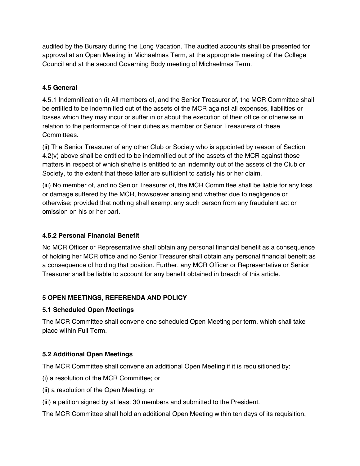audited by the Bursary during the Long Vacation. The audited accounts shall be presented for approval at an Open Meeting in Michaelmas Term, at the appropriate meeting of the College Council and at the second Governing Body meeting of Michaelmas Term.

## **4.5 General**

4.5.1 Indemnification (i) All members of, and the Senior Treasurer of, the MCR Committee shall be entitled to be indemnified out of the assets of the MCR against all expenses, liabilities or losses which they may incur or suffer in or about the execution of their office or otherwise in relation to the performance of their duties as member or Senior Treasurers of these Committees.

(ii) The Senior Treasurer of any other Club or Society who is appointed by reason of Section 4.2(v) above shall be entitled to be indemnified out of the assets of the MCR against those matters in respect of which she/he is entitled to an indemnity out of the assets of the Club or Society, to the extent that these latter are sufficient to satisfy his or her claim.

(iii) No member of, and no Senior Treasurer of, the MCR Committee shall be liable for any loss or damage suffered by the MCR, howsoever arising and whether due to negligence or otherwise; provided that nothing shall exempt any such person from any fraudulent act or omission on his or her part.

## **4.5.2 Personal Financial Benefit**

No MCR Officer or Representative shall obtain any personal financial benefit as a consequence of holding her MCR office and no Senior Treasurer shall obtain any personal financial benefit as a consequence of holding that position. Further, any MCR Officer or Representative or Senior Treasurer shall be liable to account for any benefit obtained in breach of this article.

# **5 OPEN MEETINGS, REFERENDA AND POLICY**

### **5.1 Scheduled Open Meetings**

The MCR Committee shall convene one scheduled Open Meeting per term, which shall take place within Full Term.

### **5.2 Additional Open Meetings**

The MCR Committee shall convene an additional Open Meeting if it is requisitioned by:

- (i) a resolution of the MCR Committee; or
- (ii) a resolution of the Open Meeting; or
- (iii) a petition signed by at least 30 members and submitted to the President.

The MCR Committee shall hold an additional Open Meeting within ten days of its requisition,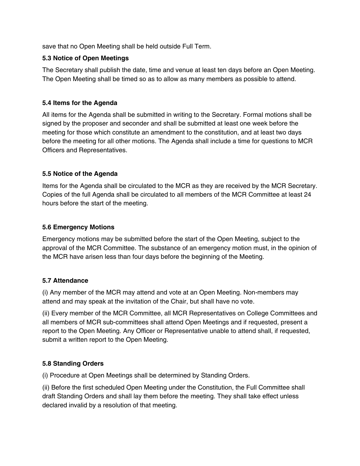save that no Open Meeting shall be held outside Full Term.

#### **5.3 Notice of Open Meetings**

The Secretary shall publish the date, time and venue at least ten days before an Open Meeting. The Open Meeting shall be timed so as to allow as many members as possible to attend.

#### **5.4 Items for the Agenda**

All items for the Agenda shall be submitted in writing to the Secretary. Formal motions shall be signed by the proposer and seconder and shall be submitted at least one week before the meeting for those which constitute an amendment to the constitution, and at least two days before the meeting for all other motions. The Agenda shall include a time for questions to MCR Officers and Representatives.

### **5.5 Notice of the Agenda**

Items for the Agenda shall be circulated to the MCR as they are received by the MCR Secretary. Copies of the full Agenda shall be circulated to all members of the MCR Committee at least 24 hours before the start of the meeting.

#### **5.6 Emergency Motions**

Emergency motions may be submitted before the start of the Open Meeting, subject to the approval of the MCR Committee. The substance of an emergency motion must, in the opinion of the MCR have arisen less than four days before the beginning of the Meeting.

#### **5.7 Attendance**

(i) Any member of the MCR may attend and vote at an Open Meeting. Non-members may attend and may speak at the invitation of the Chair, but shall have no vote.

(ii) Every member of the MCR Committee, all MCR Representatives on College Committees and all members of MCR sub-committees shall attend Open Meetings and if requested, present a report to the Open Meeting. Any Officer or Representative unable to attend shall, if requested, submit a written report to the Open Meeting.

### **5.8 Standing Orders**

(i) Procedure at Open Meetings shall be determined by Standing Orders.

(ii) Before the first scheduled Open Meeting under the Constitution, the Full Committee shall draft Standing Orders and shall lay them before the meeting. They shall take effect unless declared invalid by a resolution of that meeting.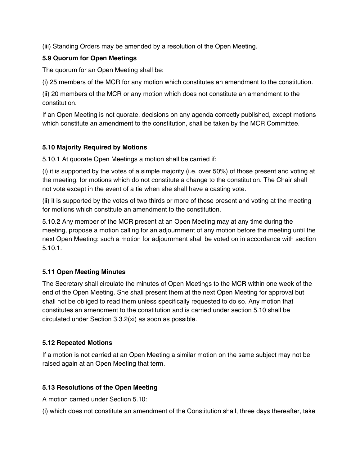(iii) Standing Orders may be amended by a resolution of the Open Meeting.

#### **5.9 Quorum for Open Meetings**

The quorum for an Open Meeting shall be:

(i) 25 members of the MCR for any motion which constitutes an amendment to the constitution.

(ii) 20 members of the MCR or any motion which does not constitute an amendment to the constitution.

If an Open Meeting is not quorate, decisions on any agenda correctly published, except motions which constitute an amendment to the constitution, shall be taken by the MCR Committee.

### **5.10 Majority Required by Motions**

5.10.1 At quorate Open Meetings a motion shall be carried if:

(i) it is supported by the votes of a simple majority (i.e. over 50%) of those present and voting at the meeting, for motions which do not constitute a change to the constitution. The Chair shall not vote except in the event of a tie when she shall have a casting vote.

(ii) it is supported by the votes of two thirds or more of those present and voting at the meeting for motions which constitute an amendment to the constitution.

5.10.2 Any member of the MCR present at an Open Meeting may at any time during the meeting, propose a motion calling for an adjournment of any motion before the meeting until the next Open Meeting: such a motion for adjournment shall be voted on in accordance with section 5.10.1.

### **5.11 Open Meeting Minutes**

The Secretary shall circulate the minutes of Open Meetings to the MCR within one week of the end of the Open Meeting. She shall present them at the next Open Meeting for approval but shall not be obliged to read them unless specifically requested to do so. Any motion that constitutes an amendment to the constitution and is carried under section 5.10 shall be circulated under Section 3.3.2(xi) as soon as possible.

### **5.12 Repeated Motions**

If a motion is not carried at an Open Meeting a similar motion on the same subject may not be raised again at an Open Meeting that term.

### **5.13 Resolutions of the Open Meeting**

A motion carried under Section 5.10:

(i) which does not constitute an amendment of the Constitution shall, three days thereafter, take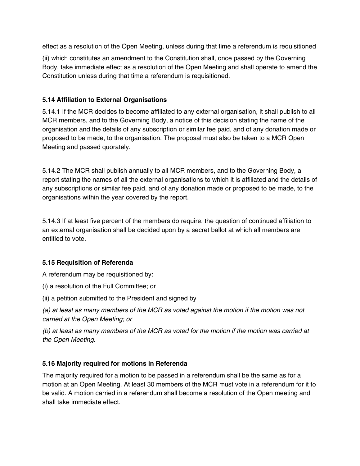effect as a resolution of the Open Meeting, unless during that time a referendum is requisitioned

(ii) which constitutes an amendment to the Constitution shall, once passed by the Governing Body, take immediate effect as a resolution of the Open Meeting and shall operate to amend the Constitution unless during that time a referendum is requisitioned.

## **5.14 Affiliation to External Organisations**

5.14.1 If the MCR decides to become affiliated to any external organisation, it shall publish to all MCR members, and to the Governing Body, a notice of this decision stating the name of the organisation and the details of any subscription or similar fee paid, and of any donation made or proposed to be made, to the organisation. The proposal must also be taken to a MCR Open Meeting and passed quorately.

5.14.2 The MCR shall publish annually to all MCR members, and to the Governing Body, a report stating the names of all the external organisations to which it is affiliated and the details of any subscriptions or similar fee paid, and of any donation made or proposed to be made, to the organisations within the year covered by the report.

5.14.3 If at least five percent of the members do require, the question of continued affiliation to an external organisation shall be decided upon by a secret ballot at which all members are entitled to vote.

# **5.15 Requisition of Referenda**

A referendum may be requisitioned by:

- (i) a resolution of the Full Committee; or
- (ii) a petition submitted to the President and signed by

(a) at least as many members of the MCR as voted against the motion if the motion was not carried at the Open Meeting; or

(b) at least as many members of the MCR as voted for the motion if the motion was carried at the Open Meeting.

# **5.16 Majority required for motions in Referenda**

The majority required for a motion to be passed in a referendum shall be the same as for a motion at an Open Meeting. At least 30 members of the MCR must vote in a referendum for it to be valid. A motion carried in a referendum shall become a resolution of the Open meeting and shall take immediate effect.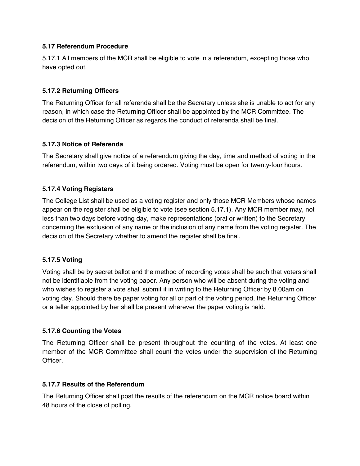#### **5.17 Referendum Procedure**

5.17.1 All members of the MCR shall be eligible to vote in a referendum, excepting those who have opted out.

### **5.17.2 Returning Officers**

The Returning Officer for all referenda shall be the Secretary unless she is unable to act for any reason, in which case the Returning Officer shall be appointed by the MCR Committee. The decision of the Returning Officer as regards the conduct of referenda shall be final.

#### **5.17.3 Notice of Referenda**

The Secretary shall give notice of a referendum giving the day, time and method of voting in the referendum, within two days of it being ordered. Voting must be open for twenty-four hours.

#### **5.17.4 Voting Registers**

The College List shall be used as a voting register and only those MCR Members whose names appear on the register shall be eligible to vote (see section 5.17.1). Any MCR member may, not less than two days before voting day, make representations (oral or written) to the Secretary concerning the exclusion of any name or the inclusion of any name from the voting register. The decision of the Secretary whether to amend the register shall be final.

#### **5.17.5 Voting**

Voting shall be by secret ballot and the method of recording votes shall be such that voters shall not be identifiable from the voting paper. Any person who will be absent during the voting and who wishes to register a vote shall submit it in writing to the Returning Officer by 8.00am on voting day. Should there be paper voting for all or part of the voting period, the Returning Officer or a teller appointed by her shall be present wherever the paper voting is held.

#### **5.17.6 Counting the Votes**

The Returning Officer shall be present throughout the counting of the votes. At least one member of the MCR Committee shall count the votes under the supervision of the Returning Officer.

#### **5.17.7 Results of the Referendum**

The Returning Officer shall post the results of the referendum on the MCR notice board within 48 hours of the close of polling.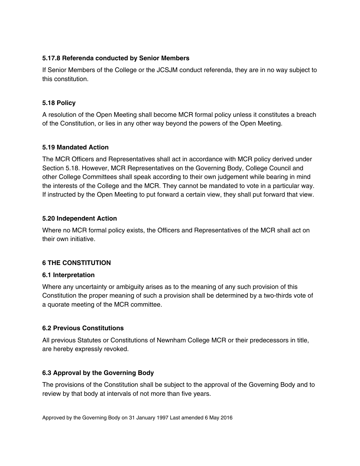#### **5.17.8 Referenda conducted by Senior Members**

If Senior Members of the College or the JCSJM conduct referenda, they are in no way subject to this constitution.

#### **5.18 Policy**

A resolution of the Open Meeting shall become MCR formal policy unless it constitutes a breach of the Constitution, or lies in any other way beyond the powers of the Open Meeting.

#### **5.19 Mandated Action**

The MCR Officers and Representatives shall act in accordance with MCR policy derived under Section 5.18. However, MCR Representatives on the Governing Body, College Council and other College Committees shall speak according to their own judgement while bearing in mind the interests of the College and the MCR. They cannot be mandated to vote in a particular way. If instructed by the Open Meeting to put forward a certain view, they shall put forward that view.

#### **5.20 Independent Action**

Where no MCR formal policy exists, the Officers and Representatives of the MCR shall act on their own initiative.

#### **6 THE CONSTITUTION**

#### **6.1 Interpretation**

Where any uncertainty or ambiguity arises as to the meaning of any such provision of this Constitution the proper meaning of such a provision shall be determined by a two-thirds vote of a quorate meeting of the MCR committee.

### **6.2 Previous Constitutions**

All previous Statutes or Constitutions of Newnham College MCR or their predecessors in title, are hereby expressly revoked.

#### **6.3 Approval by the Governing Body**

The provisions of the Constitution shall be subject to the approval of the Governing Body and to review by that body at intervals of not more than five years.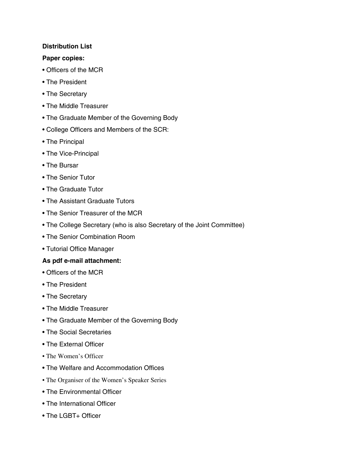#### **Distribution List**

#### **Paper copies:**

- Officers of the MCR
- The President
- The Secretary
- The Middle Treasurer
- The Graduate Member of the Governing Body
- College Officers and Members of the SCR:
- The Principal
- The Vice-Principal
- The Bursar
- The Senior Tutor
- The Graduate Tutor
- The Assistant Graduate Tutors
- The Senior Treasurer of the MCR
- The College Secretary (who is also Secretary of the Joint Committee)
- The Senior Combination Room
- Tutorial Office Manager

#### **As pdf e-mail attachment:**

- Officers of the MCR
- The President
- The Secretary
- The Middle Treasurer
- The Graduate Member of the Governing Body
- The Social Secretaries
- The External Officer
- The Women's Officer
- The Welfare and Accommodation Offices
- The Organiser of the Women's Speaker Series
- The Environmental Officer
- The International Officer
- The LGBT+ Officer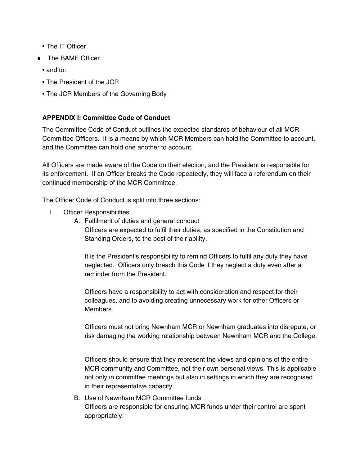- The IT Officer
- The BAME Officer
	- and to:
	- The President of the JCR
	- The JCR Members of the Governing Body

# **APPENDIX I: Committee Code of Conduct**

The Committee Code of Conduct outlines the expected standards of behaviour of all MCR Committee Officers. It is a means by which MCR Members can hold the Committee to account, and the Committee can hold one another to account.

All Officers are made aware of the Code on their election, and the President is responsible for its enforcement. If an Officer breaks the Code repeatedly, they will face a referendum on their continued membership of the MCR Committee.

The Officer Code of Conduct is split into three sections:

- I. Officer Responsibilities:
	- A. Fulfilment of duties and general conduct Officers are expected to fulfil their duties, as specified in the Constitution and Standing Orders, to the best of their ability.

It is the President's responsibility to remind Officers to fulfil any duty they have neglected. Officers only breach this Code if they neglect a duty even after a reminder from the President.

Officers have a responsibility to act with consideration and respect for their colleagues, and to avoiding creating unnecessary work for other Officers or Members.

Officers must not bring Newnham MCR or Newnham graduates into disrepute, or risk damaging the working relationship between Newnham MCR and the College.

Officers should ensure that they represent the views and opinions of the entire MCR community and Committee, not their own personal views. This is applicable not only in committee meetings but also in settings in which they are recognised in their representative capacity.

B. Use of Newnham MCR Committee funds Officers are responsible for ensuring MCR funds under their control are spent appropriately.